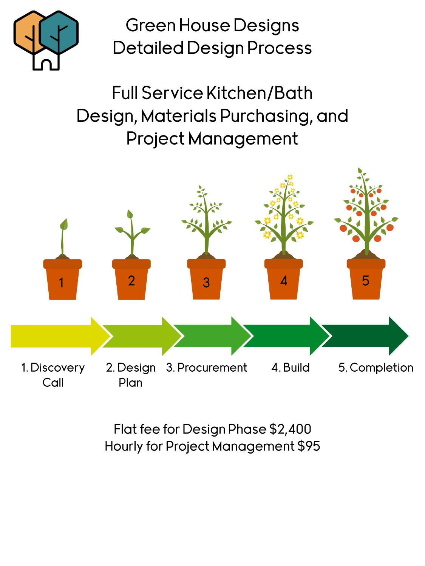

**Green House Designs Detailed Design Process** 

**Full Service Kitchen/Bath** Design, Materials Purchasing, and **Project Management** 



Flat fee for Design Phase \$2,400 Hourly for Project Management \$95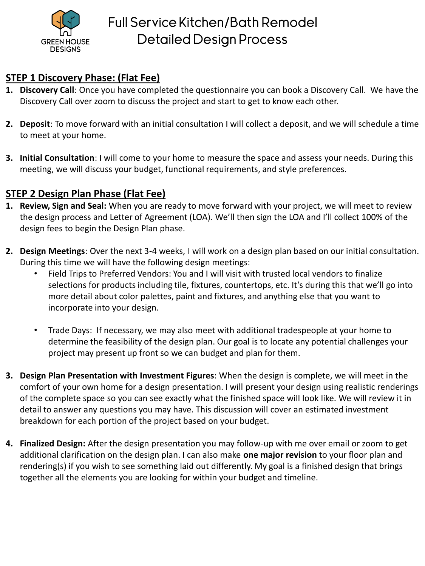

## **STEP 1 Discovery Phase: (Flat Fee)**

- **1. Discovery Call**: Once you have completed the questionnaire you can book a Discovery Call. We have the Discovery Call over zoom to discuss the project and start to get to know each other.
- **2. Deposit**: To move forward with an initial consultation I will collect a deposit, and we will schedule a time to meet at your home.
- **3. Initial Consultation**: I will come to your home to measure the space and assess your needs. During this meeting, we will discuss your budget, functional requirements, and style preferences.

## **STEP 2 Design Plan Phase (Flat Fee)**

- **1. Review, Sign and Seal:** When you are ready to move forward with your project, we will meet to review the design process and Letter of Agreement (LOA). We'll then sign the LOA and I'll collect 100% of the design fees to begin the Design Plan phase.
- **2. Design Meetings**: Over the next 3-4 weeks, I will work on a design plan based on our initial consultation. During this time we will have the following design meetings:
	- Field Trips to Preferred Vendors: You and I will visit with trusted local vendors to finalize selections for products including tile, fixtures, countertops, etc. It's during this that we'll go into more detail about color palettes, paint and fixtures, and anything else that you want to incorporate into your design.
	- Trade Days: If necessary, we may also meet with additional tradespeople at your home to determine the feasibility of the design plan. Our goal is to locate any potential challenges your project may present up front so we can budget and plan for them.
- **3. Design Plan Presentation with Investment Figures**: When the design is complete, we will meet in the comfort of your own home for a design presentation. I will present your design using realistic renderings of the complete space so you can see exactly what the finished space will look like. We will review it in detail to answer any questions you may have. This discussion will cover an estimated investment breakdown for each portion of the project based on your budget.
- **4. Finalized Design:** After the design presentation you may follow-up with me over email or zoom to get additional clarification on the design plan. I can also make **one major revision** to your floor plan and rendering(s) if you wish to see something laid out differently. My goal is a finished design that brings together all the elements you are looking for within your budget and timeline.